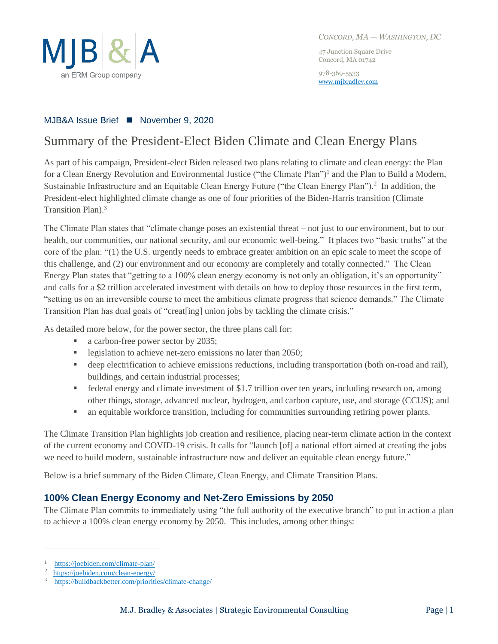

*CONCORD, MA — WASHINGTON, DC*

47 Junction Square Drive Concord, MA 01742

978-369-5533 [www.mjbradley.com](http://www.mjbradley.com/)

#### MJB&A Issue Brief ■ November 9, 2020

# Summary of the President-Elect Biden Climate and Clean Energy Plans

As part of his campaign, President-elect Biden released two plans relating to climate and clean energy: the Plan for a Clean Energy Revolution and Environmental Justice ("the Climate Plan")<sup>1</sup> and the Plan to Build a Modern, Sustainable Infrastructure and an Equitable Clean Energy Future ("the Clean Energy Plan").<sup>2</sup> In addition, the President-elect highlighted climate change as one of four priorities of the Biden-Harris transition (Climate Transition Plan).<sup>3</sup>

The Climate Plan states that "climate change poses an existential threat – not just to our environment, but to our health, our communities, our national security, and our economic well-being." It places two "basic truths" at the core of the plan: "(1) the U.S. urgently needs to embrace greater ambition on an epic scale to meet the scope of this challenge, and (2) our environment and our economy are completely and totally connected." The Clean Energy Plan states that "getting to a 100% clean energy economy is not only an obligation, it's an opportunity" and calls for a \$2 trillion accelerated investment with details on how to deploy those resources in the first term, "setting us on an irreversible course to meet the ambitious climate progress that science demands." The Climate Transition Plan has dual goals of "creat[ing] union jobs by tackling the climate crisis."

As detailed more below, for the power sector, the three plans call for:

- a carbon-free power sector by 2035;
- **•** legislation to achieve net-zero emissions no later than 2050;
- deep electrification to achieve emissions reductions, including transportation (both on-road and rail), buildings, and certain industrial processes;
- federal energy and climate investment of \$1.7 trillion over ten years, including research on, among other things, storage, advanced nuclear, hydrogen, and carbon capture, use, and storage (CCUS); and
- an equitable workforce transition, including for communities surrounding retiring power plants.

The Climate Transition Plan highlights job creation and resilience, placing near-term climate action in the context of the current economy and COVID-19 crisis. It calls for "launch [of] a national effort aimed at creating the jobs we need to build modern, sustainable infrastructure now and deliver an equitable clean energy future."

Below is a brief summary of the Biden Climate, Clean Energy, and Climate Transition Plans.

## **100% Clean Energy Economy and Net-Zero Emissions by 2050**

The Climate Plan commits to immediately using "the full authority of the executive branch" to put in action a plan to achieve a 100% clean energy economy by 2050. This includes, among other things:

<sup>1</sup> <https://joebiden.com/climate-plan/>

<sup>2</sup> <https://joebiden.com/clean-energy/>

<sup>3</sup> <https://buildbackbetter.com/priorities/climate-change/>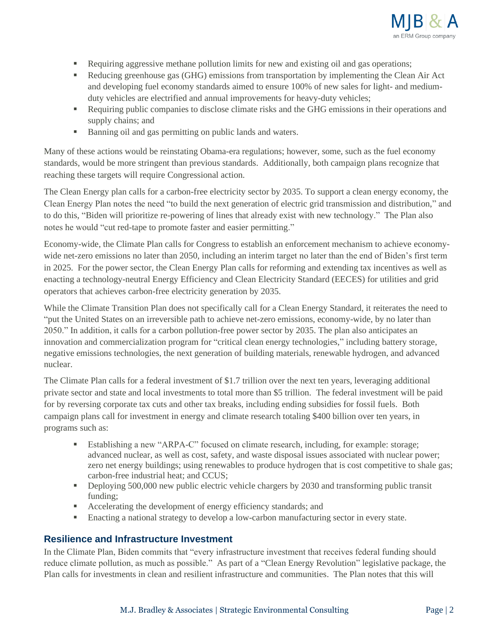

- Requiring aggressive methane pollution limits for new and existing oil and gas operations;
- **•** Reducing greenhouse gas (GHG) emissions from transportation by implementing the Clean Air Act and developing fuel economy standards aimed to ensure 100% of new sales for light- and mediumduty vehicles are electrified and annual improvements for heavy-duty vehicles;
- Requiring public companies to disclose climate risks and the GHG emissions in their operations and supply chains; and
- Banning oil and gas permitting on public lands and waters.

Many of these actions would be reinstating Obama-era regulations; however, some, such as the fuel economy standards, would be more stringent than previous standards. Additionally, both campaign plans recognize that reaching these targets will require Congressional action.

The Clean Energy plan calls for a carbon-free electricity sector by 2035. To support a clean energy economy, the Clean Energy Plan notes the need "to build the next generation of electric grid transmission and distribution," and to do this, "Biden will prioritize re-powering of lines that already exist with new technology." The Plan also notes he would "cut red-tape to promote faster and easier permitting."

Economy-wide, the Climate Plan calls for Congress to establish an enforcement mechanism to achieve economywide net-zero emissions no later than 2050, including an interim target no later than the end of Biden's first term in 2025. For the power sector, the Clean Energy Plan calls for reforming and extending tax incentives as well as enacting a technology-neutral Energy Efficiency and Clean Electricity Standard (EECES) for utilities and grid operators that achieves carbon-free electricity generation by 2035.

While the Climate Transition Plan does not specifically call for a Clean Energy Standard, it reiterates the need to "put the United States on an irreversible path to achieve net-zero emissions, economy-wide, by no later than 2050." In addition, it calls for a carbon pollution-free power sector by 2035. The plan also anticipates an innovation and commercialization program for "critical clean energy technologies," including battery storage, negative emissions technologies, the next generation of building materials, renewable hydrogen, and advanced nuclear.

The Climate Plan calls for a federal investment of \$1.7 trillion over the next ten years, leveraging additional private sector and state and local investments to total more than \$5 trillion. The federal investment will be paid for by reversing corporate tax cuts and other tax breaks, including ending subsidies for fossil fuels. Both campaign plans call for investment in energy and climate research totaling \$400 billion over ten years, in programs such as:

- Establishing a new "ARPA-C" focused on climate research, including, for example: storage; advanced nuclear, as well as cost, safety, and waste disposal issues associated with nuclear power; zero net energy buildings; using renewables to produce hydrogen that is cost competitive to shale gas; carbon-free industrial heat; and CCUS;
- **•** Deploying 500,000 new public electric vehicle chargers by 2030 and transforming public transit funding;
- Accelerating the development of energy efficiency standards; and
- Enacting a national strategy to develop a low-carbon manufacturing sector in every state.

#### **Resilience and Infrastructure Investment**

In the Climate Plan, Biden commits that "every infrastructure investment that receives federal funding should reduce climate pollution, as much as possible." As part of a "Clean Energy Revolution" legislative package, the Plan calls for investments in clean and resilient infrastructure and communities. The Plan notes that this will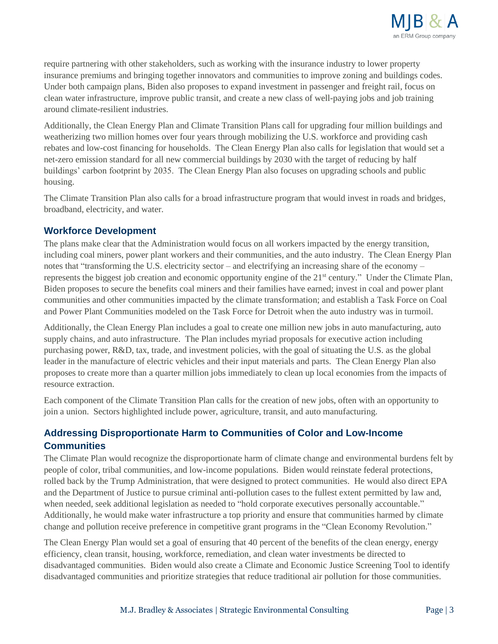

require partnering with other stakeholders, such as working with the insurance industry to lower property insurance premiums and bringing together innovators and communities to improve zoning and buildings codes. Under both campaign plans, Biden also proposes to expand investment in passenger and freight rail, focus on clean water infrastructure, improve public transit, and create a new class of well-paying jobs and job training around climate-resilient industries.

Additionally, the Clean Energy Plan and Climate Transition Plans call for upgrading four million buildings and weatherizing two million homes over four years through mobilizing the U.S. workforce and providing cash rebates and low-cost financing for households. The Clean Energy Plan also calls for legislation that would set a net-zero emission standard for all new commercial buildings by 2030 with the target of reducing by half buildings' carbon footprint by 2035. The Clean Energy Plan also focuses on upgrading schools and public housing.

The Climate Transition Plan also calls for a broad infrastructure program that would invest in roads and bridges, broadband, electricity, and water.

## **Workforce Development**

The plans make clear that the Administration would focus on all workers impacted by the energy transition, including coal miners, power plant workers and their communities, and the auto industry. The Clean Energy Plan notes that "transforming the U.S. electricity sector – and electrifying an increasing share of the economy – represents the biggest job creation and economic opportunity engine of the 21<sup>st</sup> century." Under the Climate Plan, Biden proposes to secure the benefits coal miners and their families have earned; invest in coal and power plant communities and other communities impacted by the climate transformation; and establish a Task Force on Coal and Power Plant Communities modeled on the Task Force for Detroit when the auto industry was in turmoil.

Additionally, the Clean Energy Plan includes a goal to create one million new jobs in auto manufacturing, auto supply chains, and auto infrastructure. The Plan includes myriad proposals for executive action including purchasing power, R&D, tax, trade, and investment policies, with the goal of situating the U.S. as the global leader in the manufacture of electric vehicles and their input materials and parts. The Clean Energy Plan also proposes to create more than a quarter million jobs immediately to clean up local economies from the impacts of resource extraction.

Each component of the Climate Transition Plan calls for the creation of new jobs, often with an opportunity to join a union. Sectors highlighted include power, agriculture, transit, and auto manufacturing.

# **Addressing Disproportionate Harm to Communities of Color and Low-Income Communities**

The Climate Plan would recognize the disproportionate harm of climate change and environmental burdens felt by people of color, tribal communities, and low-income populations. Biden would reinstate federal protections, rolled back by the Trump Administration, that were designed to protect communities. He would also direct EPA and the Department of Justice to pursue criminal anti-pollution cases to the fullest extent permitted by law and, when needed, seek additional legislation as needed to "hold corporate executives personally accountable." Additionally, he would make water infrastructure a top priority and ensure that communities harmed by climate change and pollution receive preference in competitive grant programs in the "Clean Economy Revolution."

The Clean Energy Plan would set a goal of ensuring that 40 percent of the benefits of the clean energy, energy efficiency, clean transit, housing, workforce, remediation, and clean water investments be directed to disadvantaged communities. Biden would also create a Climate and Economic Justice Screening Tool to identify disadvantaged communities and prioritize strategies that reduce traditional air pollution for those communities.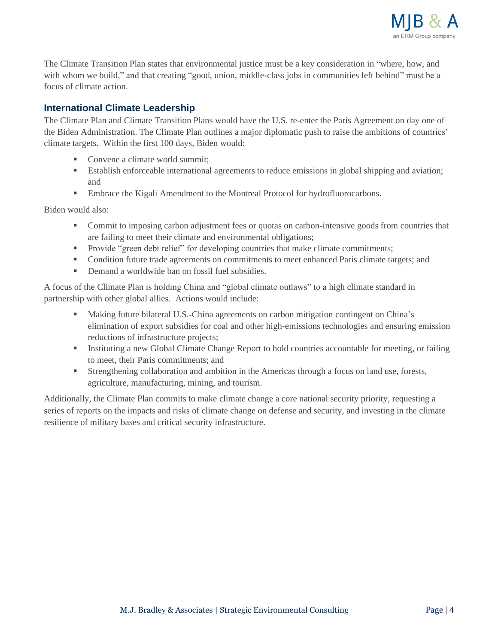

The Climate Transition Plan states that environmental justice must be a key consideration in "where, how, and with whom we build," and that creating "good, union, middle-class jobs in communities left behind" must be a focus of climate action.

## **International Climate Leadership**

The Climate Plan and Climate Transition Plans would have the U.S. re-enter the Paris Agreement on day one of the Biden Administration. The Climate Plan outlines a major diplomatic push to raise the ambitions of countries' climate targets. Within the first 100 days, Biden would:

- Convene a climate world summit:
- Establish enforceable international agreements to reduce emissions in global shipping and aviation; and
- **Embrace the Kigali Amendment to the Montreal Protocol for hydrofluorocarbons.**

Biden would also:

- **•** Commit to imposing carbon adjustment fees or quotas on carbon-intensive goods from countries that are failing to meet their climate and environmental obligations;
- Provide "green debt relief" for developing countries that make climate commitments;
- Condition future trade agreements on commitments to meet enhanced Paris climate targets; and
- Demand a worldwide ban on fossil fuel subsidies.

A focus of the Climate Plan is holding China and "global climate outlaws" to a high climate standard in partnership with other global allies. Actions would include:

- Making future bilateral U.S.-China agreements on carbon mitigation contingent on China's elimination of export subsidies for coal and other high-emissions technologies and ensuring emission reductions of infrastructure projects;
- **EXECUTE:** Instituting a new Global Climate Change Report to hold countries accountable for meeting, or failing to meet, their Paris commitments; and
- **Example 1** Strengthening collaboration and ambition in the Americas through a focus on land use, forests, agriculture, manufacturing, mining, and tourism.

Additionally, the Climate Plan commits to make climate change a core national security priority, requesting a series of reports on the impacts and risks of climate change on defense and security, and investing in the climate resilience of military bases and critical security infrastructure.